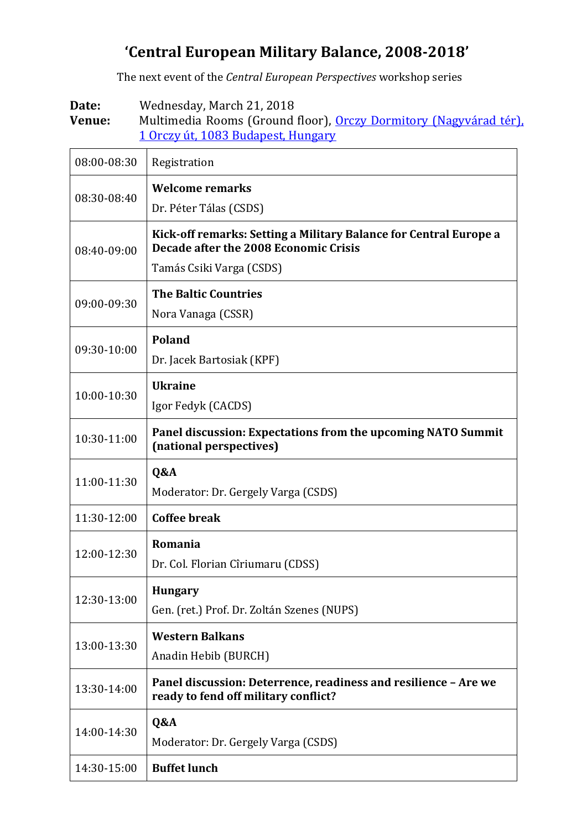## **'Central European Military Balance, 2008-2018'**

The next event of the *Central European Perspectives* workshop series

**Date:** Wednesday, March 21, 2018 Venue: Multimedia Rooms (Ground floor), [Orczy Dormitory \(Nagyvárad tér\)](https://www.google.hu/maps/place/Nemzeti+K%C3%B6zszolg%C3%A1lati+Egyetem+Orczy+%C3%9Ati+Koll%C3%A9gium/@47.4796082,19.0885234,18.75z/data=!4m13!1m7!3m6!1s0x4741dce5e7c50f55:0x99a710fa0c2d956a!2sBudapest,+Orczy+%C3%BAt+1,+1089!3b1!8m2!3d47.4818577!4d19.0879941!3m4!1s0x4741dce5d67d27e3:0x35bcfe5ad94d3aeb!8m2!3d47.4799634!4d19.089822?hl=en), 1 Orczy út, 1083 [Budapest, Hungary](https://www.google.hu/maps/place/Nemzeti+K%C3%B6zszolg%C3%A1lati+Egyetem+Orczy+%C3%9Ati+Koll%C3%A9gium/@47.4796082,19.0885234,18.75z/data=!4m13!1m7!3m6!1s0x4741dce5e7c50f55:0x99a710fa0c2d956a!2sBudapest,+Orczy+%C3%BAt+1,+1089!3b1!8m2!3d47.4818577!4d19.0879941!3m4!1s0x4741dce5d67d27e3:0x35bcfe5ad94d3aeb!8m2!3d47.4799634!4d19.089822?hl=en)

| 08:00-08:30 | Registration                                                                                                                           |
|-------------|----------------------------------------------------------------------------------------------------------------------------------------|
| 08:30-08:40 | <b>Welcome remarks</b><br>Dr. Péter Tálas (CSDS)                                                                                       |
| 08:40-09:00 | Kick-off remarks: Setting a Military Balance for Central Europe a<br>Decade after the 2008 Economic Crisis<br>Tamás Csiki Varga (CSDS) |
| 09:00-09:30 | <b>The Baltic Countries</b><br>Nora Vanaga (CSSR)                                                                                      |
| 09:30-10:00 | <b>Poland</b><br>Dr. Jacek Bartosiak (KPF)                                                                                             |
| 10:00-10:30 | <b>Ukraine</b><br>Igor Fedyk (CACDS)                                                                                                   |
| 10:30-11:00 | Panel discussion: Expectations from the upcoming NATO Summit<br>(national perspectives)                                                |
| 11:00-11:30 | Q&A<br>Moderator: Dr. Gergely Varga (CSDS)                                                                                             |
| 11:30-12:00 | <b>Coffee break</b>                                                                                                                    |
| 12:00-12:30 | Romania<br>Dr. Col. Florian Cîriumaru (CDSS)                                                                                           |
| 12:30-13:00 | <b>Hungary</b><br>Gen. (ret.) Prof. Dr. Zoltán Szenes (NUPS)                                                                           |
| 13:00-13:30 | <b>Western Balkans</b><br>Anadin Hebib (BURCH)                                                                                         |
| 13:30-14:00 | Panel discussion: Deterrence, readiness and resilience - Are we<br>ready to fend off military conflict?                                |
| 14:00-14:30 | Q&A<br>Moderator: Dr. Gergely Varga (CSDS)                                                                                             |
| 14:30-15:00 | <b>Buffet lunch</b>                                                                                                                    |